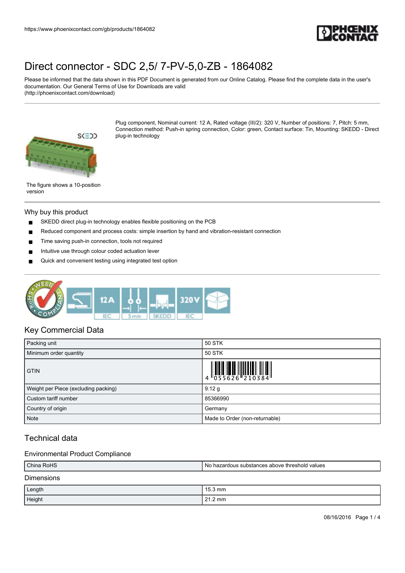

Please be informed that the data shown in this PDF Document is generated from our Online Catalog. Please find the complete data in the user's documentation. Our General Terms of Use for Downloads are valid (http://phoenixcontact.com/download)



Plug component, Nominal current: 12 A, Rated voltage (III/2): 320 V, Number of positions: 7, Pitch: 5 mm, Connection method: Push-in spring connection, Color: green, Contact surface: Tin, Mounting: SKEDD - Direct plug-in technology

The figure shows a 10-position version

### Why buy this product

- SKEDD direct plug-in technology enables flexible positioning on the PCB
- Reduced component and process costs: simple insertion by hand and vibration-resistant connection
- Time saving push-in connection, tools not required
- Intuitive use through colour coded actuation lever
- Quick and convenient testing using integrated test option



## Key Commercial Data

| Packing unit                         | 50 STK                         |
|--------------------------------------|--------------------------------|
| Minimum order quantity               | 50 STK                         |
| <b>GTIN</b>                          |                                |
| Weight per Piece (excluding packing) | 9.12 g                         |
| Custom tariff number                 | 85366990                       |
| Country of origin                    | Germany                        |
| <b>Note</b>                          | Made to Order (non-returnable) |

# Technical data

### Environmental Product Compliance

| China RoHS        | No hazardous substances above threshold values |  |
|-------------------|------------------------------------------------|--|
| <b>Dimensions</b> |                                                |  |
| Length            | 15.3 mm                                        |  |
| Height            | $121.2 \text{ mm}$                             |  |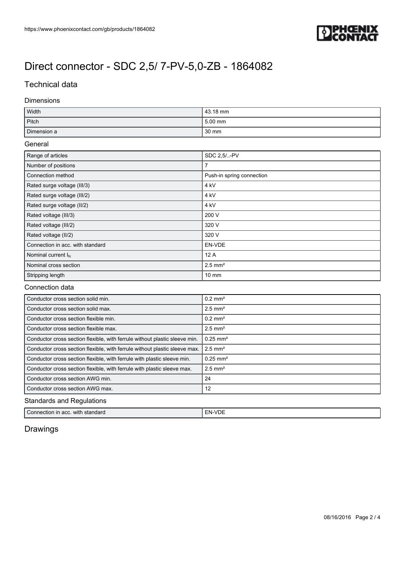

# Technical data

## Dimensions

| Width       | 43.18 mm          |
|-------------|-------------------|
| Pitch       | 5.00 mm           |
| Dimension a | $30 \, \text{mm}$ |

### General

| Range of articles                | SDC 2.5/-PV               |
|----------------------------------|---------------------------|
| Number of positions              | 7                         |
| Connection method                | Push-in spring connection |
| Rated surge voltage (III/3)      | 4 kV                      |
| Rated surge voltage (III/2)      | 4 kV                      |
| Rated surge voltage (II/2)       | 4 kV                      |
| Rated voltage (III/3)            | 200 V                     |
| Rated voltage (III/2)            | 320 V                     |
| Rated voltage (II/2)             | 320 V                     |
| Connection in acc. with standard | EN-VDE                    |
| Nominal current $I_N$            | 12A                       |
| Nominal cross section            | $2.5$ mm <sup>2</sup>     |
| Stripping length                 | $10 \text{ mm}$           |

## Connection data

| Conductor cross section solid min.                                         | $0.2$ mm <sup>2</sup>  |  |
|----------------------------------------------------------------------------|------------------------|--|
| Conductor cross section solid max.                                         | $2.5$ mm <sup>2</sup>  |  |
| Conductor cross section flexible min.                                      | $0.2$ mm <sup>2</sup>  |  |
| Conductor cross section flexible max.                                      | $2.5$ mm <sup>2</sup>  |  |
| Conductor cross section flexible, with ferrule without plastic sleeve min. | $0.25$ mm <sup>2</sup> |  |
| Conductor cross section flexible, with ferrule without plastic sleeve max. | $2.5$ mm <sup>2</sup>  |  |
| Conductor cross section flexible, with ferrule with plastic sleeve min.    | $0.25$ mm <sup>2</sup> |  |
| Conductor cross section flexible, with ferrule with plastic sleeve max.    | $2.5$ mm <sup>2</sup>  |  |
| Conductor cross section AWG min.                                           | 24                     |  |
| Conductor cross section AWG max.                                           | 12                     |  |
| <b>Standards and Regulations</b>                                           |                        |  |

| ⌒<br>with standard<br>Connection in<br>acc. | $\sim$<br>-NL |
|---------------------------------------------|---------------|
|---------------------------------------------|---------------|

# Drawings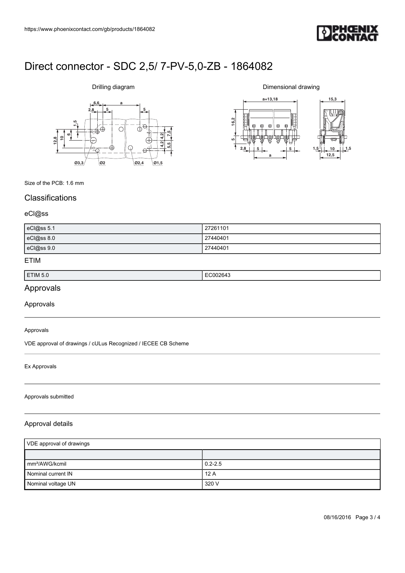

# **6,6 a**  $2,8$   $5$

Drilling diagram



Dimensional drawing



Size of the PCB: 1.6 mm

# **Classifications**

### eCl@ss

| eCl@ss 5.1 | 27261101 |
|------------|----------|
| eCl@ss 8.0 | 27440401 |
| eCl@ss 9.0 | 27440401 |

### ETIM

| ⊑TIM 5.ປ | ,, |
|----------|----|
|          | .  |
|          |    |

# Approvals

Approvals

### Approvals

VDE approval of drawings / cULus Recognized / IECEE CB Scheme

### Ex Approvals

#### Approvals submitted

## Approval details

| VDE approval of drawings   |             |
|----------------------------|-------------|
|                            |             |
| mm <sup>2</sup> /AWG/kcmil | $0.2 - 2.5$ |
| Nominal current IN         | 12A         |
| Nominal voltage UN         | 320 V       |